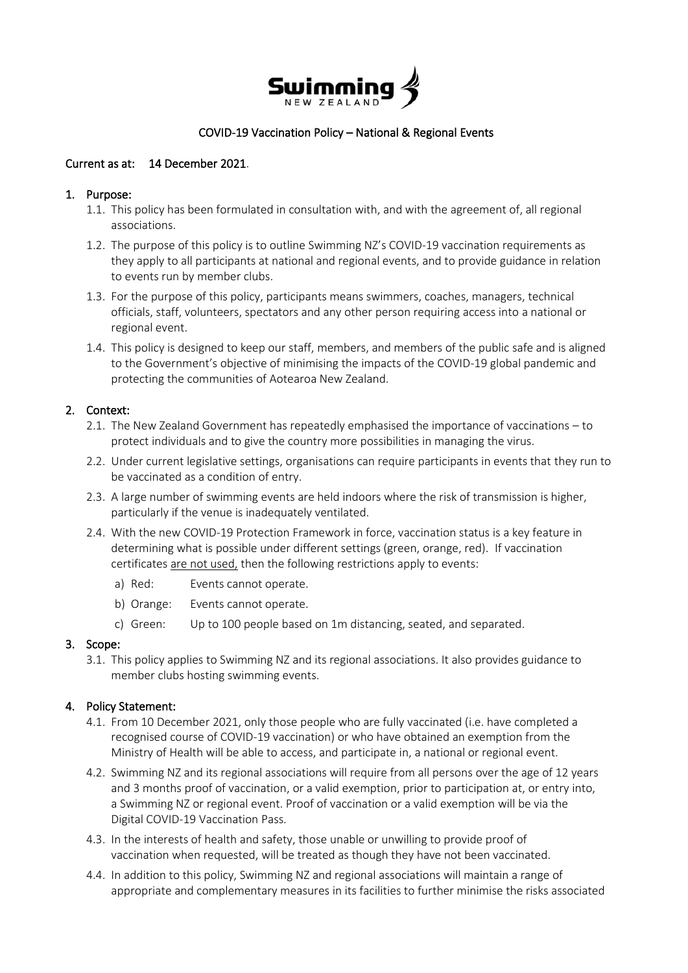

# COVID-19 Vaccination Policy – National & Regional Events

# Current as at: 14 December 2021.

### 1. Purpose:

- 1.1. This policy has been formulated in consultation with, and with the agreement of, all regional associations.
- 1.2. The purpose of this policy is to outline Swimming NZ's COVID-19 vaccination requirements as they apply to all participants at national and regional events, and to provide guidance in relation to events run by member clubs.
- 1.3. For the purpose of this policy, participants means swimmers, coaches, managers, technical officials, staff, volunteers, spectators and any other person requiring access into a national or regional event.
- 1.4. This policy is designed to keep our staff, members, and members of the public safe and is aligned to the Government's objective of minimising the impacts of the COVID-19 global pandemic and protecting the communities of Aotearoa New Zealand.

### 2. Context:

- 2.1. The New Zealand Government has repeatedly emphasised the importance of vaccinations to protect individuals and to give the country more possibilities in managing the virus.
- 2.2. Under current legislative settings, organisations can require participants in events that they run to be vaccinated as a condition of entry.
- 2.3. A large number of swimming events are held indoors where the risk of transmission is higher, particularly if the venue is inadequately ventilated.
- 2.4. With the new COVID-19 Protection Framework in force, vaccination status is a key feature in determining what is possible under different settings (green, orange, red). If vaccination certificates are not used, then the following restrictions apply to events:
	- a) Red: Events cannot operate.
	- b) Orange: Events cannot operate.
	- c) Green: Up to 100 people based on 1m distancing, seated, and separated.

#### 3. Scope:

3.1. This policy applies to Swimming NZ and its regional associations. It also provides guidance to member clubs hosting swimming events.

# 4. Policy Statement:

- 4.1. From 10 December 2021, only those people who are fully vaccinated (i.e. have completed a recognised course of COVID-19 vaccination) or who have obtained an exemption from the Ministry of Health will be able to access, and participate in, a national or regional event.
- 4.2. Swimming NZ and its regional associations will require from all persons over the age of 12 years and 3 months proof of vaccination, or a valid exemption, prior to participation at, or entry into, a Swimming NZ or regional event. Proof of vaccination or a valid exemption will be via the Digital COVID-19 Vaccination Pass.
- 4.3. In the interests of health and safety, those unable or unwilling to provide proof of vaccination when requested, will be treated as though they have not been vaccinated.
- 4.4. In addition to this policy, Swimming NZ and regional associations will maintain a range of appropriate and complementary measures in its facilities to further minimise the risks associated